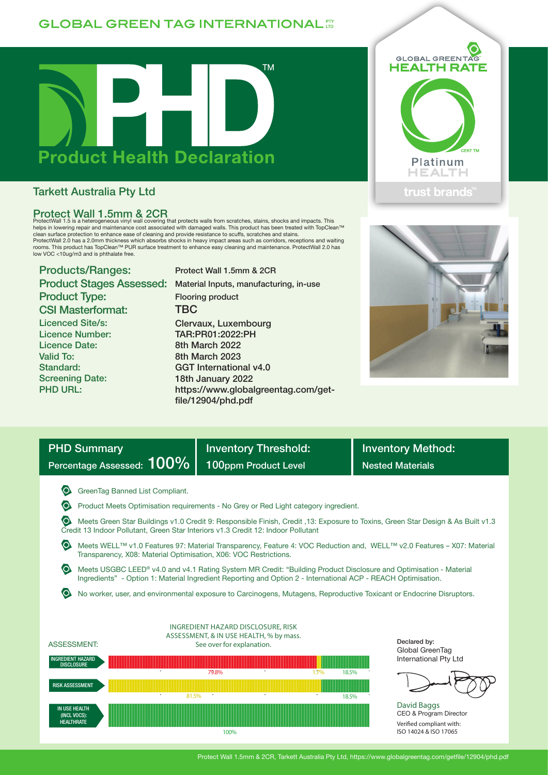# **GLOBAL GREEN TAG INTERNATIONAL TT**



## Tarkett Australia Pty Ltd

Protect Wall 1.5mm & 2CR<br>ProtectWall 1.5 is a heterogeneous vinyl wall covering that protects walls from scratches, stains, shocks and impacts. This<br>helps in lowering repair and maintenance cost associated with damaged wa clean surface protection to enhance ease of cleaning and provide resistance to scuffs, scratches and stains.<br>ProtectWall 2.0 has a 2.0mm thickness which absorbs shocks in heavy impact areas such as corridors, receptions a low VOC <10ug/m3 and is phthalate free.

Products/Ranges: Product Stages Assessed: Material Inputs, manufacturing, in-use Product Type: CSI Masterformat: Licenced Site/s: Licence Number:

Licence Date: Valid To: Standard: Screening Date: PHD URL:

Flooring product **TBC** Clervaux, Luxembourg TAR:PR01:2022:PH 8th March 2022 8th March 2023 GGT International v4.0 18th January 2022 https://www.globalgreentag.com/getfile/12904/phd.pdf

Protect Wall 1.5mm & 2CR





| <b>PHD Summary</b>                                                                                                                                                                                                                              | <b>Inventory Threshold:</b>                                                                                                     | <b>Inventory Method:</b> |  |  |  |  |  |  |
|-------------------------------------------------------------------------------------------------------------------------------------------------------------------------------------------------------------------------------------------------|---------------------------------------------------------------------------------------------------------------------------------|--------------------------|--|--|--|--|--|--|
| Percentage Assessed: 100%                                                                                                                                                                                                                       | 100ppm Product Level                                                                                                            | <b>Nested Materials</b>  |  |  |  |  |  |  |
|                                                                                                                                                                                                                                                 |                                                                                                                                 |                          |  |  |  |  |  |  |
| GreenTag Banned List Compliant.                                                                                                                                                                                                                 |                                                                                                                                 |                          |  |  |  |  |  |  |
|                                                                                                                                                                                                                                                 | Product Meets Optimisation requirements - No Grey or Red Light category ingredient.                                             |                          |  |  |  |  |  |  |
| Credit 13 Indoor Pollutant, Green Star Interiors v1.3 Credit 12: Indoor Pollutant                                                                                                                                                               | Meets Green Star Buildings v1.0 Credit 9: Responsible Finish, Credit, 13: Exposure to Toxins, Green Star Design & As Built v1.3 |                          |  |  |  |  |  |  |
| $\odot$<br>Meets WELL™ v1.0 Features 97: Material Transparency, Feature 4: VOC Reduction and, WELL™ v2.0 Features - X07: Material<br>Transparency, X08: Material Optimisation, X06: VOC Restrictions.                                           |                                                                                                                                 |                          |  |  |  |  |  |  |
| $\bullet$<br>Meets USGBC LEED® v4.0 and v4.1 Rating System MR Credit: "Building Product Disclosure and Optimisation - Material<br>Ingredients" - Option 1: Material Ingredient Reporting and Option 2 - International ACP - REACH Optimisation. |                                                                                                                                 |                          |  |  |  |  |  |  |
| No worker, user, and environmental exposure to Carcinogens, Mutagens, Reproductive Toxicant or Endocrine Disruptors.                                                                                                                            |                                                                                                                                 |                          |  |  |  |  |  |  |
|                                                                                                                                                                                                                                                 | INGREDIENT HAZARD DISCLOSURE, RISK                                                                                              |                          |  |  |  |  |  |  |
| <b>ASSESSMENT:</b>                                                                                                                                                                                                                              | ASSESSMENT, & IN USE HEALTH, % by mass.<br>See over for explanation.                                                            | Declared by:             |  |  |  |  |  |  |
| <b>INGREDIENT HAZARD</b><br><b>DISCLOSURE</b>                                                                                                                                                                                                   | Global GreenTag<br>International Pty Ltd                                                                                        |                          |  |  |  |  |  |  |
| <b>RISK ASSESSMENT</b>                                                                                                                                                                                                                          | 79.8%<br>18.5%<br>1.7%                                                                                                          |                          |  |  |  |  |  |  |
| 81.5%                                                                                                                                                                                                                                           | 18.5%                                                                                                                           |                          |  |  |  |  |  |  |
| <b>IN USE HEALTH</b><br>(INCL VOCS):<br><b>HEALTHRATE</b>                                                                                                                                                                                       | David Baggs<br>CEO & Program Director<br>Verified compliant with:<br>ISO 14024 & ISO 17065                                      |                          |  |  |  |  |  |  |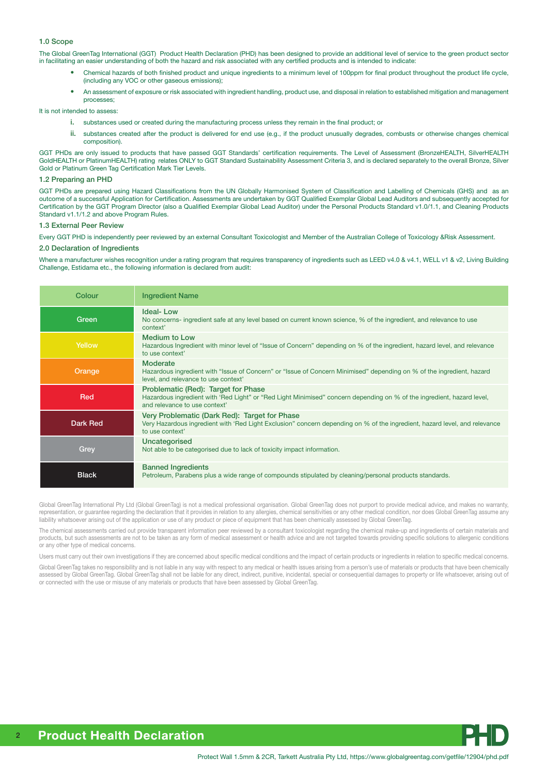#### 1.0 Scope

The Global GreenTag International (GGT) Product Health Declaration (PHD) has been designed to provide an additional level of service to the green product sector in facilitating an easier understanding of both the hazard and risk associated with any certified products and is intended to indicate:

- Chemical hazards of both finished product and unique ingredients to a minimum level of 100ppm for final product throughout the product life cycle, (including any VOC or other gaseous emissions);
- An assessment of exposure or risk associated with ingredient handling, product use, and disposal in relation to established mitigation and management processes;

It is not intended to assess:

- i. substances used or created during the manufacturing process unless they remain in the final product; or
- ii. substances created after the product is delivered for end use (e.g., if the product unusually degrades, combusts or otherwise changes chemical composition).

GGT PHDs are only issued to products that have passed GGT Standards' certification requirements. The Level of Assessment (BronzeHEALTH, SilverHEALTH GoldHEALTH or PlatinumHEALTH) rating relates ONLY to GGT Standard Sustainability Assessment Criteria 3, and is declared separately to the overall Bronze, Silver Gold or Platinum Green Tag Certification Mark Tier Levels.

#### 1.2 Preparing an PHD

GGT PHDs are prepared using Hazard Classifications from the UN Globally Harmonised System of Classification and Labelling of Chemicals (GHS) and as an outcome of a successful Application for Certification. Assessments are undertaken by GGT Qualified Exemplar Global Lead Auditors and subsequently accepted for Certification by the GGT Program Director (also a Qualified Exemplar Global Lead Auditor) under the Personal Products Standard v1.0/1.1, and Cleaning Products Standard v1.1/1.2 and above Program Rules.

#### 1.3 External Peer Review

Every GGT PHD is independently peer reviewed by an external Consultant Toxicologist and Member of the Australian College of Toxicology &Risk Assessment.

### 2.0 Declaration of Ingredients

Where a manufacturer wishes recognition under a rating program that requires transparency of ingredients such as LEED v4.0 & v4.1, WELL v1 & v2, Living Building Challenge, Estidama etc., the following information is declared from audit:

| Colour       | <b>Ingredient Name</b>                                                                                                                                                                         |
|--------------|------------------------------------------------------------------------------------------------------------------------------------------------------------------------------------------------|
| Green        | <b>Ideal-Low</b><br>No concerns- ingredient safe at any level based on current known science, % of the ingredient, and relevance to use<br>context'                                            |
| Yellow       | <b>Medium to Low</b><br>Hazardous Ingredient with minor level of "Issue of Concern" depending on % of the ingredient, hazard level, and relevance<br>to use context'                           |
| Orange       | <b>Moderate</b><br>Hazardous ingredient with "Issue of Concern" or "Issue of Concern Minimised" depending on % of the ingredient, hazard<br>level, and relevance to use context'               |
| Red          | Problematic (Red): Target for Phase<br>Hazardous ingredient with 'Red Light" or "Red Light Minimised" concern depending on % of the ingredient, hazard level,<br>and relevance to use context' |
| Dark Red     | Very Problematic (Dark Red): Target for Phase<br>Very Hazardous ingredient with 'Red Light Exclusion" concern depending on % of the ingredient, hazard level, and relevance<br>to use context' |
| <b>Grey</b>  | Uncategorised<br>Not able to be categorised due to lack of toxicity impact information.                                                                                                        |
| <b>Black</b> | <b>Banned Ingredients</b><br>Petroleum, Parabens plus a wide range of compounds stipulated by cleaning/personal products standards.                                                            |

Global GreenTag International Pty Ltd (Global GreenTag) is not a medical professional organisation. Global GreenTag does not purport to provide medical advice, and makes no warranty, representation, or guarantee regarding the declaration that it provides in relation to any allergies, chemical sensitivities or any other medical condition, nor does Global GreenTag assume any liability whatsoever arising out of the application or use of any product or piece of equipment that has been chemically assessed by Global GreenTag.

The chemical assessments carried out provide transparent information peer reviewed by a consultant toxicologist regarding the chemical make-up and ingredients of certain materials and products, but such assessments are not to be taken as any form of medical assessment or health advice and are not targeted towards providing specific solutions to allergenic conditions or any other type of medical concerns.

Users must carry out their own investigations if they are concerned about specific medical conditions and the impact of certain products or ingredients in relation to specific medical concerns.

Global GreenTag takes no responsibility and is not liable in any way with respect to any medical or health issues arising from a person's use of materials or products that have been chemically assessed by Global GreenTag. Global GreenTag shall not be liable for any direct, indirect, punitive, incidental, special or consequential damages to property or life whatsoever, arising out of or connected with the use or misuse of any materials or products that have been assessed by Global GreenTag.

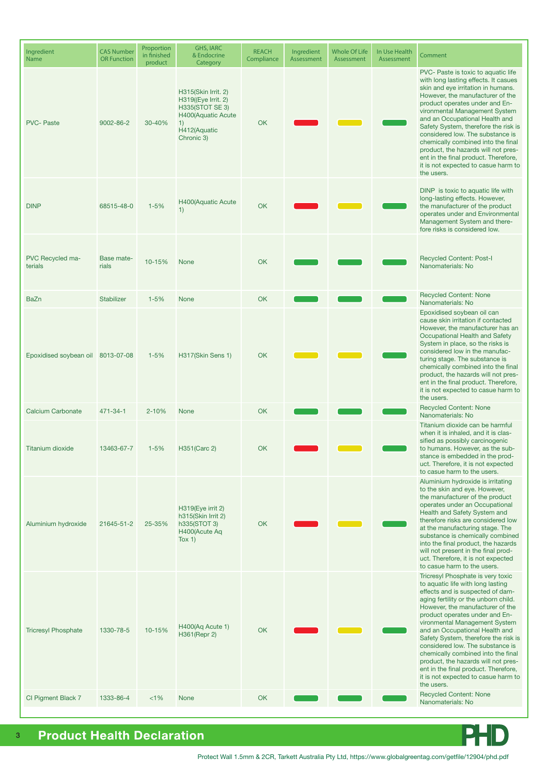| Ingredient<br><b>Name</b>         | <b>CAS Number</b><br><b>OR Function</b> | Proportion<br>in finished<br>product | <b>GHS, IARC</b><br>& Endocrine<br>Category                                                                                    | <b>REACH</b><br>Compliance | Ingredient<br>Assessment | <b>Whole Of Life</b><br>Assessment | In Use Health<br>Assessment | Comment                                                                                                                                                                                                                                                                                                                                                                                                                                                                                                                                           |
|-----------------------------------|-----------------------------------------|--------------------------------------|--------------------------------------------------------------------------------------------------------------------------------|----------------------------|--------------------------|------------------------------------|-----------------------------|---------------------------------------------------------------------------------------------------------------------------------------------------------------------------------------------------------------------------------------------------------------------------------------------------------------------------------------------------------------------------------------------------------------------------------------------------------------------------------------------------------------------------------------------------|
| <b>PVC-Paste</b>                  | $9002 - 86 - 2$                         | 30-40%                               | H315(Skin Irrit. 2)<br>H319((Eye Irrit. 2)<br><b>H335(STOT SE 3)</b><br>H400(Aquatic Acute<br>1)<br>H412(Aquatic<br>Chronic 3) | <b>OK</b>                  |                          |                                    |                             | PVC- Paste is toxic to aquatic life<br>with long lasting effects. It casues<br>skin and eye irritation in humans.<br>However, the manufacturer of the<br>product operates under and En-<br>vironmental Management System<br>and an Occupational Health and<br>Safety System, therefore the risk is<br>considered low. The substance is<br>chemically combined into the final<br>product, the hazards will not pres-<br>ent in the final product. Therefore,<br>it is not expected to casue harm to<br>the users.                                  |
| <b>DINP</b>                       | 68515-48-0                              | $1 - 5%$                             | H400(Aquatic Acute<br>1)                                                                                                       | <b>OK</b>                  |                          |                                    |                             | DINP is toxic to aquatic life with<br>long-lasting effects. However,<br>the manufacturer of the product<br>operates under and Environmental<br>Management System and there-<br>fore risks is considered low.                                                                                                                                                                                                                                                                                                                                      |
| PVC Recycled ma-<br>terials       | Base mate-<br>rials                     | 10-15%                               | None                                                                                                                           | <b>OK</b>                  |                          |                                    |                             | <b>Recycled Content: Post-I</b><br>Nanomaterials: No                                                                                                                                                                                                                                                                                                                                                                                                                                                                                              |
| <b>BaZn</b>                       | <b>Stabilizer</b>                       | $1 - 5%$                             | <b>None</b>                                                                                                                    | <b>OK</b>                  |                          |                                    |                             | <b>Recycled Content: None</b><br>Nanomaterials: No                                                                                                                                                                                                                                                                                                                                                                                                                                                                                                |
| Epoxidised soybean oil 8013-07-08 |                                         | $1 - 5%$                             | H317(Skin Sens 1)                                                                                                              | <b>OK</b>                  |                          |                                    |                             | Epoxidised soybean oil can<br>cause skin irritation if contacted<br>However, the manufacturer has an<br>Occupational Health and Safety<br>System in place, so the risks is<br>considered low in the manufac-<br>turing stage. The substance is<br>chemically combined into the final<br>product, the hazards will not pres-<br>ent in the final product. Therefore,<br>it is not expected to casue harm to<br>the users.                                                                                                                          |
| <b>Calcium Carbonate</b>          | 471-34-1                                | $2 - 10%$                            | None                                                                                                                           | <b>OK</b>                  |                          |                                    |                             | <b>Recycled Content: None</b><br>Nanomaterials: No                                                                                                                                                                                                                                                                                                                                                                                                                                                                                                |
| <b>Titanium dioxide</b>           | 13463-67-7                              | $1 - 5%$                             | H351(Carc 2)                                                                                                                   | OK.                        |                          |                                    |                             | Titanium dioxide can be harmful<br>when it is inhaled, and it is clas-<br>sified as possibly carcinogenic<br>to humans. However, as the sub-<br>stance is embedded in the prod-<br>uct. Therefore, it is not expected<br>to casue harm to the users.                                                                                                                                                                                                                                                                                              |
| Aluminium hydroxide               | 21645-51-2                              | 25-35%                               | H319(Eye irrit 2)<br>h315(Skin Irrit 2)<br>h335(STOT 3)<br>H400(Acute Aq<br>Tox $1$ )                                          | <b>OK</b>                  |                          |                                    |                             | Aluminium hydroxide is irritating<br>to the skin and eye. However,<br>the manufacturer of the product<br>operates under an Occupational<br>Health and Safety System and<br>therefore risks are considered low<br>at the manufacturing stage. The<br>substance is chemically combined<br>into the final product, the hazards<br>will not present in the final prod-<br>uct. Therefore, it is not expected<br>to casue harm to the users.                                                                                                           |
| <b>Tricresyl Phosphate</b>        | 1330-78-5                               | 10-15%                               | H400(Aq Acute 1)<br>H361(Repr 2)                                                                                               | <b>OK</b>                  |                          |                                    |                             | Tricresyl Phosphate is very toxic<br>to aquatic life with long lasting<br>effects and is suspected of dam-<br>aging fertility or the unborn child.<br>However, the manufacturer of the<br>product operates under and En-<br>vironmental Management System<br>and an Occupational Health and<br>Safety System, therefore the risk is<br>considered low. The substance is<br>chemically combined into the final<br>product, the hazards will not pres-<br>ent in the final product. Therefore,<br>it is not expected to casue harm to<br>the users. |
| CI Pigment Black 7                | 1333-86-4                               | $<$ 1%                               | None                                                                                                                           | <b>OK</b>                  |                          |                                    |                             | <b>Recycled Content: None</b><br>Nanomaterials: No                                                                                                                                                                                                                                                                                                                                                                                                                                                                                                |

#### **Product Health Declaration** 3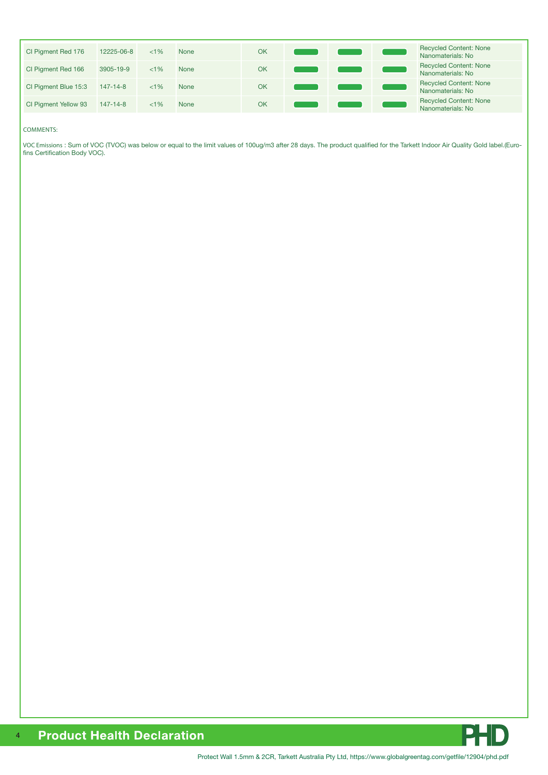| CI Pigment Red 176   | 12225-06-8     | $< 1\%$ | <b>None</b> | OK | <b>Service Service</b> | <b>Recycled Content: None</b><br>Nanomaterials: No |
|----------------------|----------------|---------|-------------|----|------------------------|----------------------------------------------------|
| CI Pigment Red 166   | 3905-19-9      | $< 1\%$ | <b>None</b> | OK |                        | <b>Recycled Content: None</b><br>Nanomaterials: No |
| CI Pigment Blue 15:3 | $147 - 14 - 8$ | $< 1\%$ | <b>None</b> | OK |                        | <b>Recycled Content: None</b><br>Nanomaterials: No |
| CI Pigment Yellow 93 | $147 - 14 - 8$ | $< 1\%$ | <b>None</b> | OK |                        | <b>Recycled Content: None</b><br>Nanomaterials: No |

#### COMMENTS:

VOC Emissions : Sum of VOC (TVOC) was below or equal to the limit values of 100ug/m3 after 28 days. The product qualified for the Tarkett Indoor Air Quality Gold label.(Eurofins Certification Body VOC).

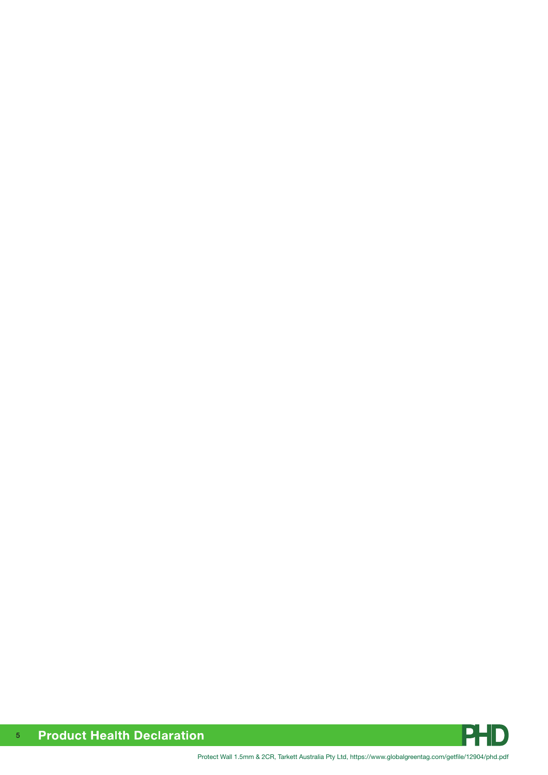